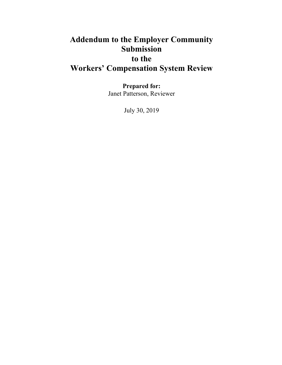# **Addendum to the Employer Community Submission to the Workers' Compensation System Review**

**Prepared for:** Janet Patterson, Reviewer

July 30, 2019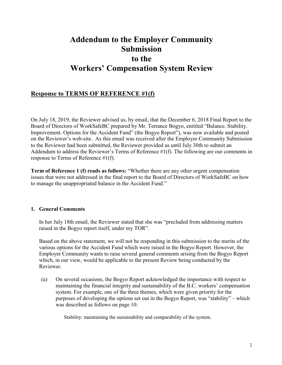## **Addendum to the Employer Community Submission to the Workers' Compensation System Review**

### **Response to TERMS OF REFERENCE #1(f)**

On July 18, 2019, the Reviewer advised us, by email, that the December 6, 2018 Final Report to the Board of Directors of WorkSafeBC prepared by Mr. Terrance Bogyo, entitled "Balance. Stability. Improvement. Options for the Accident Fund" (the Bogyo Report"), was now available and posted on the Reviewer's web-site. As this email was received after the Employer Community Submission to the Reviewer had been submitted, the Reviewer provided us until July 30th to submit an Addendum to address the Reviewer's Terms of Reference #1(f). The following are our comments in response to Terms of Reference #1(f).

**Term of Reference 1 (f) reads as follows:** "Whether there are any other urgent compensation issues that were not addressed in the final report to the Board of Directors of WorkSafeBC on how to manage the unappropriated balance in the Accident Fund."

#### **1. General Comments**

In her July 18th email, the Reviewer stated that she was "precluded from addressing matters raised in the Bogyo report itself, under my TOR".

Based on the above statement, we will not be responding in this submission to the merits of the various options for the Accident Fund which were raised in the Bogyo Report. However, the Employer Community wants to raise several general comments arising from the Bogyo Report which, in our view, would be applicable to the present Review being conducted by the Reviewer.

(a) On several occasions, the Bogyo Report acknowledged the importance with respect to maintaining the financial integrity and sustainability of the B.C. workers' compensation system. For example, one of the three themes, which were given priority for the purposes of developing the options set out in the Bogyo Report, was "stability" – which was described as follows on page 10:

Stability: maintaining the sustainability and comparability of the system.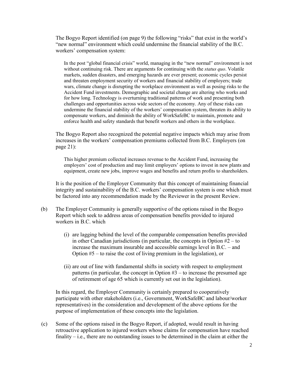The Bogyo Report identified (on page 9) the following "risks" that exist in the world's "new normal" environment which could undermine the financial stability of the B.C. workers' compensation system:

In the post "global financial crisis" world, managing in the "new normal" environment is not without continuing risk. There are arguments for continuing with the *status quo*. Volatile markets, sudden disasters, and emerging hazards are ever present; economic cycles persist and threaten employment security of workers and financial stability of employers; trade wars, climate change is disrupting the workplace environment as well as posing risks to the Accident Fund investments. Demographic and societal change are altering who works and for how long. Technology is overturning traditional patterns of work and presenting both challenges and opportunities across wide sectors of the economy. Any of these risks can undermine the financial stability of the workers' compensation system, threaten its ability to compensate workers, and diminish the ability of WorkSafeBC to maintain, promote and enforce health and safety standards that benefit workers and others in the workplace.

The Bogyo Report also recognized the potential negative impacts which may arise from increases in the workers' compensation premiums collected from B.C. Employers (on page 21):

This higher premium collected increases revenue to the Accident Fund, increasing the employers' cost of production and may limit employers' options to invest in new plants and equipment, create new jobs, improve wages and benefits and return profits to shareholders.

It is the position of the Employer Community that this concept of maintaining financial integrity and sustainability of the B.C. workers' compensation system is one which must be factored into any recommendation made by the Reviewer in the present Review.

- (b) The Employer Community is generally supportive of the options raised in the Bogyo Report which seek to address areas of compensation benefits provided to injured workers in B.C. which
	- (i) are lagging behind the level of the comparable compensation benefits provided in other Canadian jurisdictions (in particular, the concepts in Option #2 – to increase the maximum insurable and accessible earnings level in B.C. – and Option #5 – to raise the cost of living premium in the legislation), or
	- (ii) are out of line with fundamental shifts in society with respect to employment patterns (in particular, the concept in Option  $#3 -$  to increase the presumed age of retirement of age 65 which is currently set out in the legislation).

In this regard, the Employer Community is certainly prepared to cooperatively participate with other stakeholders (i.e., Government, WorkSafeBC and labour/worker representatives) in the consideration and development of the above options for the purpose of implementation of these concepts into the legislation.

(c) Some of the options raised in the Bogyo Report, if adopted, would result in having retroactive application to injured workers whose claims for compensation have reached finality – i.e., there are no outstanding issues to be determined in the claim at either the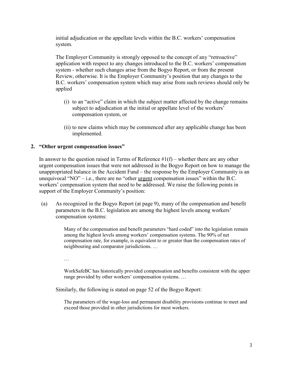initial adjudication or the appellate levels within the B.C. workers' compensation system.

The Employer Community is strongly opposed to the concept of any "retroactive" application with respect to any changes introduced to the B.C. workers' compensation system - whether such changes arise from the Bogyo Report, or from the present Review, otherwise. It is the Employer Community's position that any changes to the B.C. workers' compensation system which may arise from such reviews should only be applied

- (i) to an "active" claim in which the subject matter affected by the change remains subject to adjudication at the initial or appellate level of the workers' compensation system, or
- (ii) to new claims which may be commenced after any applicable change has been implemented.

#### **2. "Other urgent compensation issues"**

In answer to the question raised in Terms of Reference  $\#1(f)$  – whether there are any other urgent compensation issues that were not addressed in the Bogyo Report on how to manage the unappropriated balance in the Accident Fund – the response by the Employer Community is an unequivocal "NO" – i.e., there are no "other urgent compensation issues" within the B.C. workers' compensation system that need to be addressed. We raise the following points in support of the Employer Community's position:

(a) As recognized in the Bogyo Report (at page 9), many of the compensation and benefit parameters in the B.C. legislation are among the highest levels among workers' compensation systems:

> Many of the compensation and benefit parameters "hard coded" into the legislation remain among the highest levels among workers' compensation systems. The 90% of net compensation rate, for example, is equivalent to or greater than the compensation rates of neighbouring and comparator jurisdictions. …

…

WorkSafeBC has historically provided compensation and benefits consistent with the upper range provided by other workers' compensation systems. …

Similarly, the following is stated on page 52 of the Bogyo Report:

The parameters of the wage-loss and permanent disability provisions continue to meet and exceed those provided in other jurisdictions for most workers.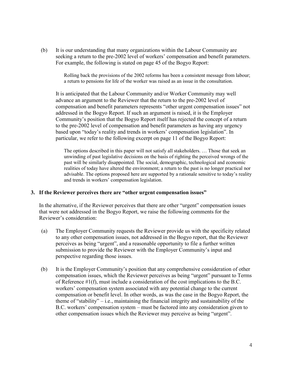(b) It is our understanding that many organizations within the Labour Community are seeking a return to the pre-2002 level of workers' compensation and benefit parameters. For example, the following is stated on page 45 of the Bogyo Report:

> Rolling back the provisions of the 2002 reforms has been a consistent message from labour; a return to pensions for life of the worker was raised as an issue in the consultation.

It is anticipated that the Labour Community and/or Worker Community may well advance an argument to the Reviewer that the return to the pre-2002 level of compensation and benefit parameters represents "other urgent compensation issues" not addressed in the Bogyo Report. If such an argument is raised, it is the Employer Community's position that the Bogyo Report itself has rejected the concept of a return to the pre-2002 level of compensation and benefit parameters as having any urgency based upon "today's reality and trends in workers' compensation legislation". In particular, we refer to the following excerpt on page 11 of the Bogyo Report:

The options described in this paper will not satisfy all stakeholders. … Those that seek an unwinding of past legislative decisions on the basis of righting the perceived wrongs of the past will be similarly disappointed. The social, demographic, technological and economic realities of today have altered the environment; a return to the past is no longer practical nor advisable. The options proposed here are supported by a rationale sensitive to today's reality and trends in workers' compensation legislation.

#### **3. If the Reviewer perceives there are "other urgent compensation issues"**

In the alternative, if the Reviewer perceives that there are other "urgent" compensation issues that were not addressed in the Bogyo Report, we raise the following comments for the Reviewer's consideration:

- (a) The Employer Community requests the Reviewer provide us with the specificity related to any other compensation issues, not addressed in the Bogyo report, that the Reviewer perceives as being "urgent", and a reasonable opportunity to file a further written submission to provide the Reviewer with the Employer Community's input and perspective regarding those issues.
- (b) It is the Employer Community's position that any comprehensive consideration of other compensation issues, which the Reviewer perceives as being "urgent" pursuant to Terms of Reference #1(f), must include a consideration of the cost implications to the B.C. workers' compensation system associated with any potential change to the current compensation or benefit level. In other words, as was the case in the Bogyo Report, the theme of "stability" – i.e., maintaining the financial integrity and sustainability of the B.C. workers' compensation system – must be factored into any consideration given to other compensation issues which the Reviewer may perceive as being "urgent".